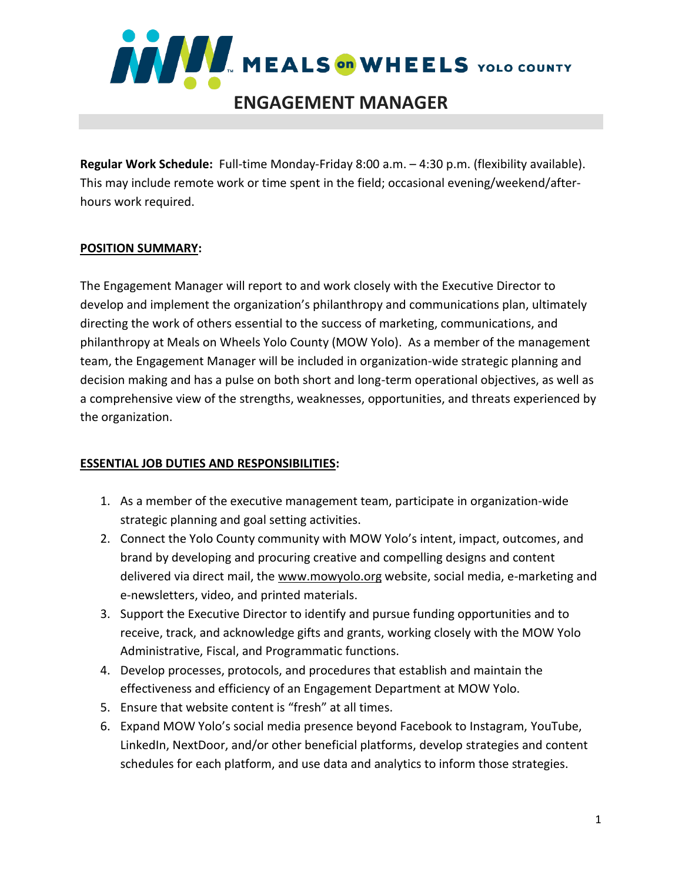

**Regular Work Schedule:** Full-time Monday-Friday 8:00 a.m. – 4:30 p.m. (flexibility available). This may include remote work or time spent in the field; occasional evening/weekend/afterhours work required.

### **POSITION SUMMARY:**

The Engagement Manager will report to and work closely with the Executive Director to develop and implement the organization's philanthropy and communications plan, ultimately directing the work of others essential to the success of marketing, communications, and philanthropy at Meals on Wheels Yolo County (MOW Yolo). As a member of the management team, the Engagement Manager will be included in organization-wide strategic planning and decision making and has a pulse on both short and long-term operational objectives, as well as a comprehensive view of the strengths, weaknesses, opportunities, and threats experienced by the organization.

# **ESSENTIAL JOB DUTIES AND RESPONSIBILITIES:**

- 1. As a member of the executive management team, participate in organization-wide strategic planning and goal setting activities.
- 2. Connect the Yolo County community with MOW Yolo's intent, impact, outcomes, and brand by developing and procuring creative and compelling designs and content delivered via direct mail, the [www.mowyolo.org](http://www.mowyolo.org/) website, social media, e-marketing and e-newsletters, video, and printed materials.
- 3. Support the Executive Director to identify and pursue funding opportunities and to receive, track, and acknowledge gifts and grants, working closely with the MOW Yolo Administrative, Fiscal, and Programmatic functions.
- 4. Develop processes, protocols, and procedures that establish and maintain the effectiveness and efficiency of an Engagement Department at MOW Yolo.
- 5. Ensure that website content is "fresh" at all times.
- 6. Expand MOW Yolo's social media presence beyond Facebook to Instagram, YouTube, LinkedIn, NextDoor, and/or other beneficial platforms, develop strategies and content schedules for each platform, and use data and analytics to inform those strategies.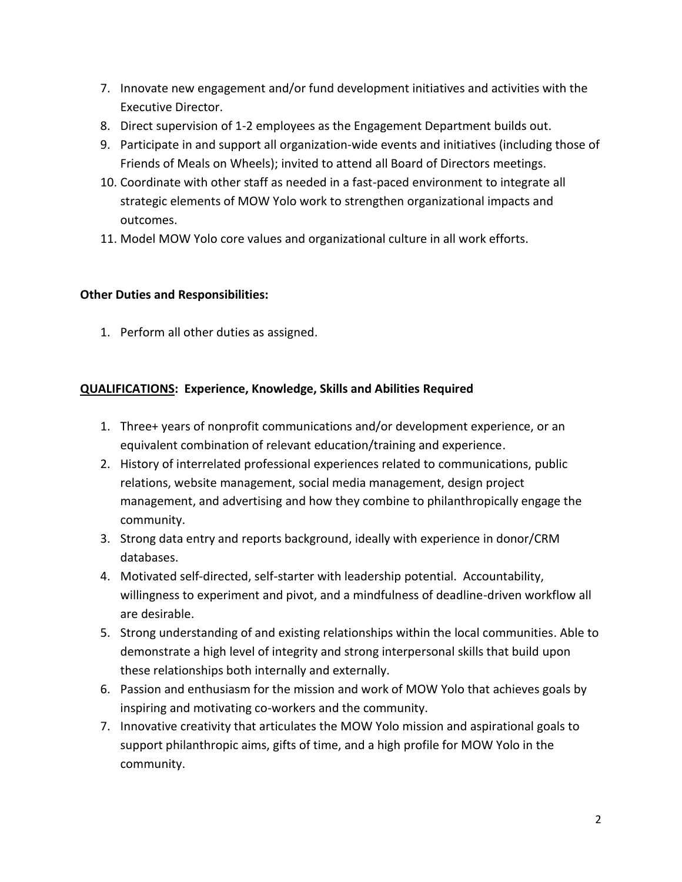- 7. Innovate new engagement and/or fund development initiatives and activities with the Executive Director.
- 8. Direct supervision of 1-2 employees as the Engagement Department builds out.
- 9. Participate in and support all organization-wide events and initiatives (including those of Friends of Meals on Wheels); invited to attend all Board of Directors meetings.
- 10. Coordinate with other staff as needed in a fast-paced environment to integrate all strategic elements of MOW Yolo work to strengthen organizational impacts and outcomes.
- 11. Model MOW Yolo core values and organizational culture in all work efforts.

# **Other Duties and Responsibilities:**

1. Perform all other duties as assigned.

# **QUALIFICATIONS: Experience, Knowledge, Skills and Abilities Required**

- 1. Three+ years of nonprofit communications and/or development experience, or an equivalent combination of relevant education/training and experience.
- 2. History of interrelated professional experiences related to communications, public relations, website management, social media management, design project management, and advertising and how they combine to philanthropically engage the community.
- 3. Strong data entry and reports background, ideally with experience in donor/CRM databases.
- 4. Motivated self-directed, self-starter with leadership potential. Accountability, willingness to experiment and pivot, and a mindfulness of deadline-driven workflow all are desirable.
- 5. Strong understanding of and existing relationships within the local communities. Able to demonstrate a high level of integrity and strong interpersonal skills that build upon these relationships both internally and externally.
- 6. Passion and enthusiasm for the mission and work of MOW Yolo that achieves goals by inspiring and motivating co-workers and the community.
- 7. Innovative creativity that articulates the MOW Yolo mission and aspirational goals to support philanthropic aims, gifts of time, and a high profile for MOW Yolo in the community.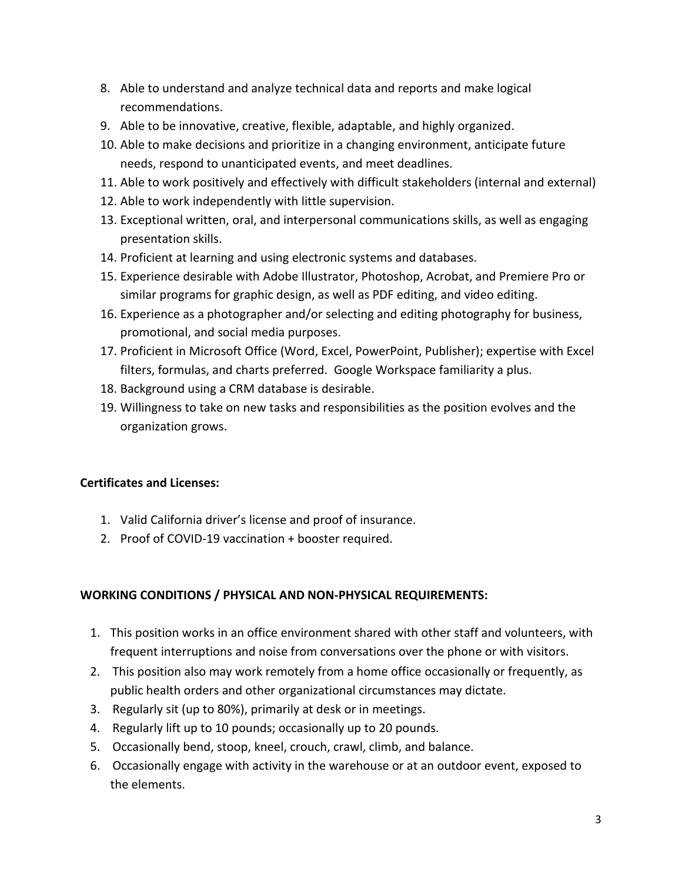- 8. Able to understand and analyze technical data and reports and make logical recommendations.
- 9. Able to be innovative, creative, flexible, adaptable, and highly organized.
- 10. Able to make decisions and prioritize in a changing environment, anticipate future needs, respond to unanticipated events, and meet deadlines.
- 11. Able to work positively and effectively with difficult stakeholders (internal and external)
- 12. Able to work independently with little supervision.
- 13. Exceptional written, oral, and interpersonal communications skills, as well as engaging presentation skills.
- 14. Proficient at learning and using electronic systems and databases.
- 15. Experience desirable with Adobe Illustrator, Photoshop, Acrobat, and Premiere Pro or similar programs for graphic design, as well as PDF editing, and video editing.
- 16. Experience as a photographer and/or selecting and editing photography for business, promotional, and social media purposes.
- 17. Proficient in Microsoft Office (Word, Excel, PowerPoint, Publisher); expertise with Excel filters, formulas, and charts preferred. Google Workspace familiarity a plus.
- 18. Background using a CRM database is desirable.
- 19. Willingness to take on new tasks and responsibilities as the position evolves and the organization grows.

### **Certificates and Licenses:**

- 1. Valid California driver's license and proof of insurance.
- 2. Proof of COVID-19 vaccination + booster required.

### **WORKING CONDITIONS / PHYSICAL AND NON-PHYSICAL REQUIREMENTS:**

- 1. This position works in an office environment shared with other staff and volunteers, with frequent interruptions and noise from conversations over the phone or with visitors.
- 2. This position also may work remotely from a home office occasionally or frequently, as public health orders and other organizational circumstances may dictate.
- 3. Regularly sit (up to 80%), primarily at desk or in meetings.
- 4. Regularly lift up to 10 pounds; occasionally up to 20 pounds.
- 5. Occasionally bend, stoop, kneel, crouch, crawl, climb, and balance.
- 6. Occasionally engage with activity in the warehouse or at an outdoor event, exposed to the elements.